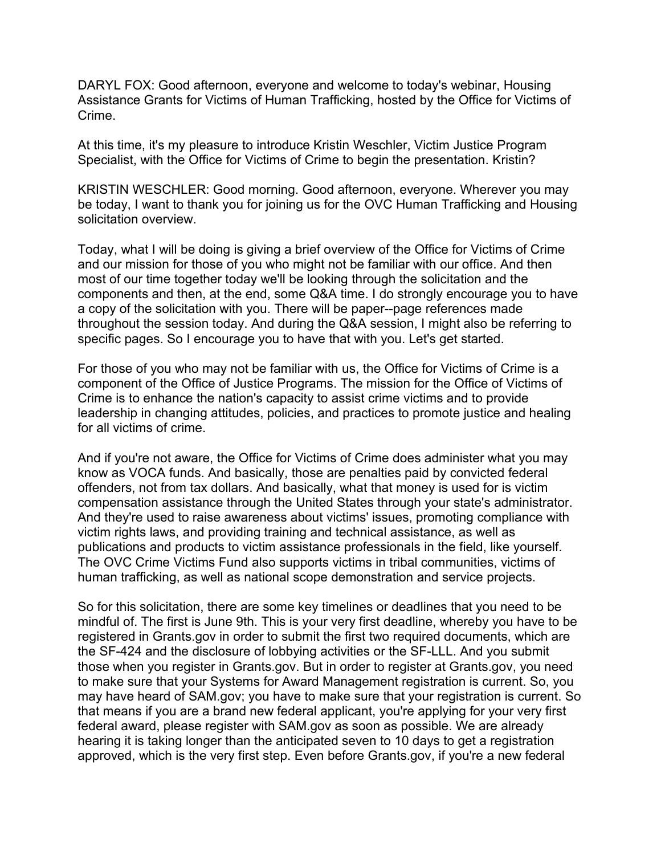DARYL FOX: Good afternoon, everyone and welcome to today's webinar, Housing Assistance Grants for Victims of Human Trafficking, hosted by the Office for Victims of Crime.

At this time, it's my pleasure to introduce Kristin Weschler, Victim Justice Program Specialist, with the Office for Victims of Crime to begin the presentation. Kristin?

KRISTIN WESCHLER: Good morning. Good afternoon, everyone. Wherever you may be today, I want to thank you for joining us for the OVC Human Trafficking and Housing solicitation overview.

Today, what I will be doing is giving a brief overview of the Office for Victims of Crime and our mission for those of you who might not be familiar with our office. And then most of our time together today we'll be looking through the solicitation and the components and then, at the end, some Q&A time. I do strongly encourage you to have a copy of the solicitation with you. There will be paper--page references made throughout the session today. And during the Q&A session, I might also be referring to specific pages. So I encourage you to have that with you. Let's get started.

For those of you who may not be familiar with us, the Office for Victims of Crime is a component of the Office of Justice Programs. The mission for the Office of Victims of Crime is to enhance the nation's capacity to assist crime victims and to provide leadership in changing attitudes, policies, and practices to promote justice and healing for all victims of crime.

And if you're not aware, the Office for Victims of Crime does administer what you may know as VOCA funds. And basically, those are penalties paid by convicted federal offenders, not from tax dollars. And basically, what that money is used for is victim compensation assistance through the United States through your state's administrator. And they're used to raise awareness about victims' issues, promoting compliance with victim rights laws, and providing training and technical assistance, as well as publications and products to victim assistance professionals in the field, like yourself. The OVC Crime Victims Fund also supports victims in tribal communities, victims of human trafficking, as well as national scope demonstration and service projects.

So for this solicitation, there are some key timelines or deadlines that you need to be mindful of. The first is June 9th. This is your very first deadline, whereby you have to be registered in Grants.gov in order to submit the first two required documents, which are the SF-424 and the disclosure of lobbying activities or the SF-LLL. And you submit those when you register in Grants.gov. But in order to register at Grants.gov, you need to make sure that your Systems for Award Management registration is current. So, you may have heard of SAM.gov; you have to make sure that your registration is current. So that means if you are a brand new federal applicant, you're applying for your very first federal award, please register with SAM.gov as soon as possible. We are already hearing it is taking longer than the anticipated seven to 10 days to get a registration approved, which is the very first step. Even before Grants.gov, if you're a new federal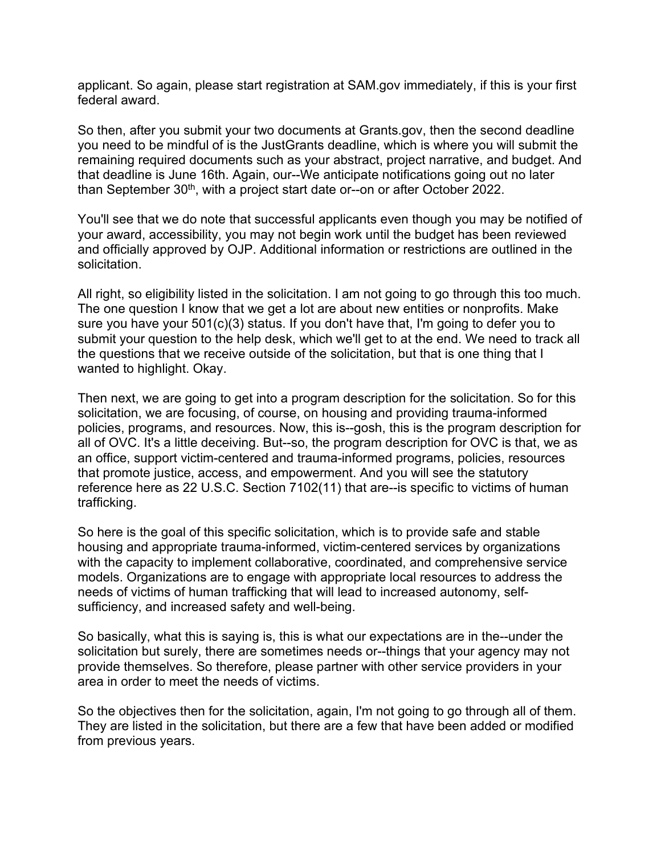applicant. So again, please start registration at SAM.gov immediately, if this is your first federal award.

So then, after you submit your two documents at Grants.gov, then the second deadline you need to be mindful of is the JustGrants deadline, which is where you will submit the remaining required documents such as your abstract, project narrative, and budget. And that deadline is June 16th. Again, our--We anticipate notifications going out no later than September 30<sup>th</sup>, with a project start date or--on or after October 2022.

You'll see that we do note that successful applicants even though you may be notified of your award, accessibility, you may not begin work until the budget has been reviewed and officially approved by OJP. Additional information or restrictions are outlined in the solicitation.

All right, so eligibility listed in the solicitation. I am not going to go through this too much. The one question I know that we get a lot are about new entities or nonprofits. Make sure you have your 501(c)(3) status. If you don't have that, I'm going to defer you to submit your question to the help desk, which we'll get to at the end. We need to track all the questions that we receive outside of the solicitation, but that is one thing that I wanted to highlight. Okay.

Then next, we are going to get into a program description for the solicitation. So for this solicitation, we are focusing, of course, on housing and providing trauma-informed policies, programs, and resources. Now, this is--gosh, this is the program description for all of OVC. It's a little deceiving. But--so, the program description for OVC is that, we as an office, support victim-centered and trauma-informed programs, policies, resources that promote justice, access, and empowerment. And you will see the statutory reference here as 22 U.S.C. Section 7102(11) that are--is specific to victims of human trafficking.

So here is the goal of this specific solicitation, which is to provide safe and stable housing and appropriate trauma-informed, victim-centered services by organizations with the capacity to implement collaborative, coordinated, and comprehensive service models. Organizations are to engage with appropriate local resources to address the needs of victims of human trafficking that will lead to increased autonomy, selfsufficiency, and increased safety and well-being.

So basically, what this is saying is, this is what our expectations are in the--under the solicitation but surely, there are sometimes needs or--things that your agency may not provide themselves. So therefore, please partner with other service providers in your area in order to meet the needs of victims.

So the objectives then for the solicitation, again, I'm not going to go through all of them. They are listed in the solicitation, but there are a few that have been added or modified from previous years.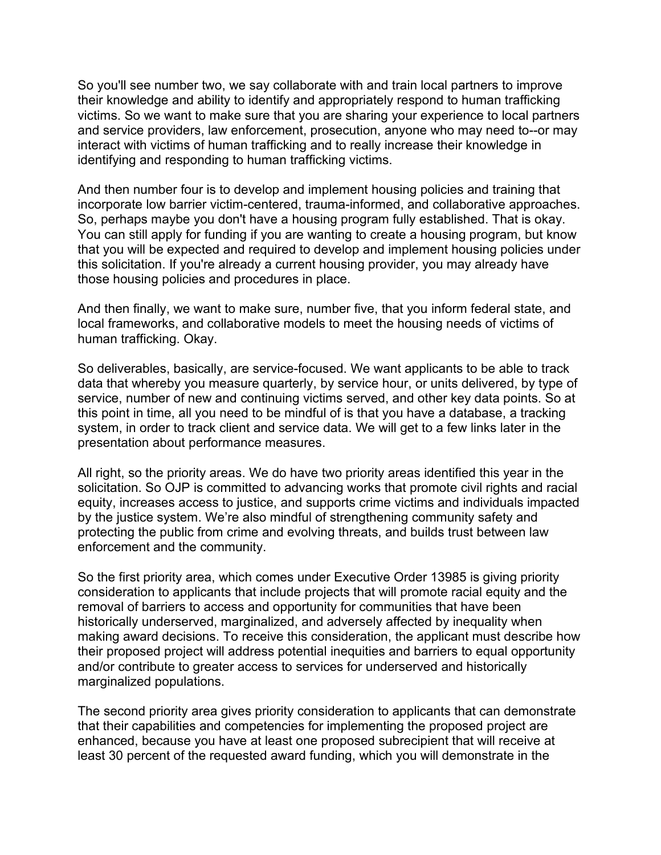So you'll see number two, we say collaborate with and train local partners to improve their knowledge and ability to identify and appropriately respond to human trafficking victims. So we want to make sure that you are sharing your experience to local partners and service providers, law enforcement, prosecution, anyone who may need to--or may interact with victims of human trafficking and to really increase their knowledge in identifying and responding to human trafficking victims.

And then number four is to develop and implement housing policies and training that incorporate low barrier victim-centered, trauma-informed, and collaborative approaches. So, perhaps maybe you don't have a housing program fully established. That is okay. You can still apply for funding if you are wanting to create a housing program, but know that you will be expected and required to develop and implement housing policies under this solicitation. If you're already a current housing provider, you may already have those housing policies and procedures in place.

And then finally, we want to make sure, number five, that you inform federal state, and local frameworks, and collaborative models to meet the housing needs of victims of human trafficking. Okay.

So deliverables, basically, are service-focused. We want applicants to be able to track data that whereby you measure quarterly, by service hour, or units delivered, by type of service, number of new and continuing victims served, and other key data points. So at this point in time, all you need to be mindful of is that you have a database, a tracking system, in order to track client and service data. We will get to a few links later in the presentation about performance measures.

All right, so the priority areas. We do have two priority areas identified this year in the solicitation. So OJP is committed to advancing works that promote civil rights and racial equity, increases access to justice, and supports crime victims and individuals impacted by the justice system. We're also mindful of strengthening community safety and protecting the public from crime and evolving threats, and builds trust between law enforcement and the community.

So the first priority area, which comes under Executive Order 13985 is giving priority consideration to applicants that include projects that will promote racial equity and the removal of barriers to access and opportunity for communities that have been historically underserved, marginalized, and adversely affected by inequality when making award decisions. To receive this consideration, the applicant must describe how their proposed project will address potential inequities and barriers to equal opportunity and/or contribute to greater access to services for underserved and historically marginalized populations.

The second priority area gives priority consideration to applicants that can demonstrate that their capabilities and competencies for implementing the proposed project are enhanced, because you have at least one proposed subrecipient that will receive at least 30 percent of the requested award funding, which you will demonstrate in the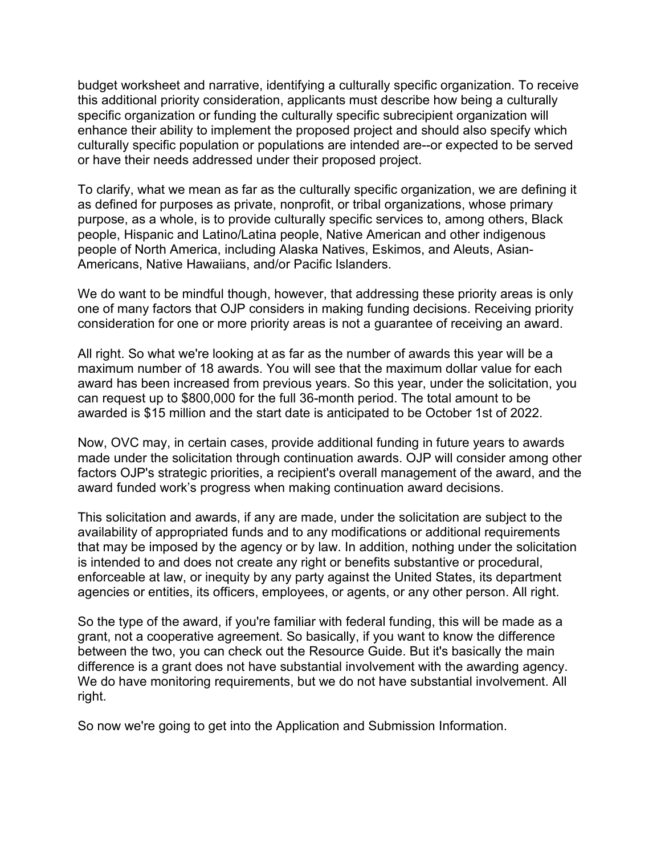budget worksheet and narrative, identifying a culturally specific organization. To receive this additional priority consideration, applicants must describe how being a culturally specific organization or funding the culturally specific subrecipient organization will enhance their ability to implement the proposed project and should also specify which culturally specific population or populations are intended are--or expected to be served or have their needs addressed under their proposed project.

To clarify, what we mean as far as the culturally specific organization, we are defining it as defined for purposes as private, nonprofit, or tribal organizations, whose primary purpose, as a whole, is to provide culturally specific services to, among others, Black people, Hispanic and Latino/Latina people, Native American and other indigenous people of North America, including Alaska Natives, Eskimos, and Aleuts, Asian-Americans, Native Hawaiians, and/or Pacific Islanders.

We do want to be mindful though, however, that addressing these priority areas is only one of many factors that OJP considers in making funding decisions. Receiving priority consideration for one or more priority areas is not a guarantee of receiving an award.

All right. So what we're looking at as far as the number of awards this year will be a maximum number of 18 awards. You will see that the maximum dollar value for each award has been increased from previous years. So this year, under the solicitation, you can request up to \$800,000 for the full 36-month period. The total amount to be awarded is \$15 million and the start date is anticipated to be October 1st of 2022.

Now, OVC may, in certain cases, provide additional funding in future years to awards made under the solicitation through continuation awards. OJP will consider among other factors OJP's strategic priorities, a recipient's overall management of the award, and the award funded work's progress when making continuation award decisions.

This solicitation and awards, if any are made, under the solicitation are subject to the availability of appropriated funds and to any modifications or additional requirements that may be imposed by the agency or by law. In addition, nothing under the solicitation is intended to and does not create any right or benefits substantive or procedural, enforceable at law, or inequity by any party against the United States, its department agencies or entities, its officers, employees, or agents, or any other person. All right.

So the type of the award, if you're familiar with federal funding, this will be made as a grant, not a cooperative agreement. So basically, if you want to know the difference between the two, you can check out the Resource Guide. But it's basically the main difference is a grant does not have substantial involvement with the awarding agency. We do have monitoring requirements, but we do not have substantial involvement. All right.

So now we're going to get into the Application and Submission Information.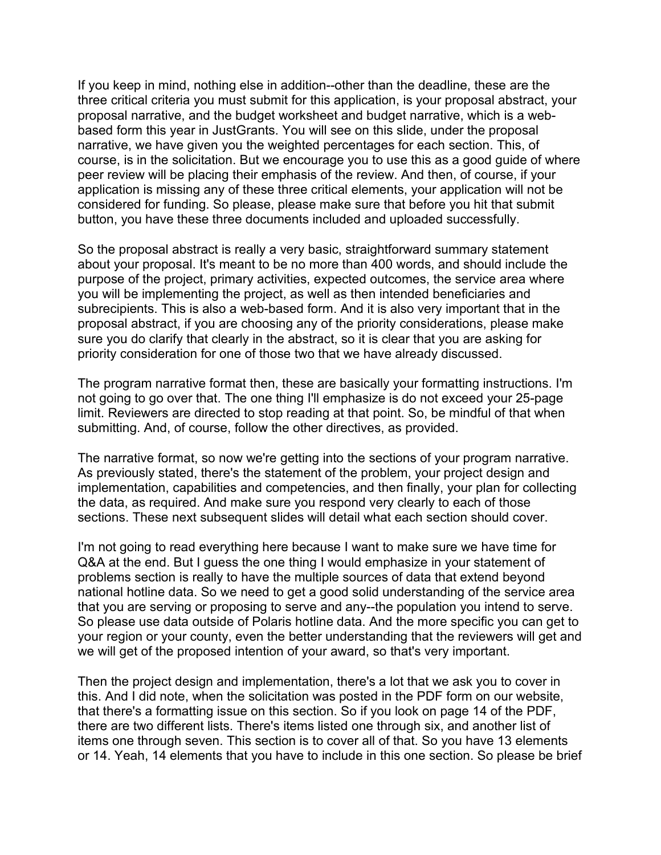If you keep in mind, nothing else in addition--other than the deadline, these are the three critical criteria you must submit for this application, is your proposal abstract, your proposal narrative, and the budget worksheet and budget narrative, which is a webbased form this year in JustGrants. You will see on this slide, under the proposal narrative, we have given you the weighted percentages for each section. This, of course, is in the solicitation. But we encourage you to use this as a good guide of where peer review will be placing their emphasis of the review. And then, of course, if your application is missing any of these three critical elements, your application will not be considered for funding. So please, please make sure that before you hit that submit button, you have these three documents included and uploaded successfully.

So the proposal abstract is really a very basic, straightforward summary statement about your proposal. It's meant to be no more than 400 words, and should include the purpose of the project, primary activities, expected outcomes, the service area where you will be implementing the project, as well as then intended beneficiaries and subrecipients. This is also a web-based form. And it is also very important that in the proposal abstract, if you are choosing any of the priority considerations, please make sure you do clarify that clearly in the abstract, so it is clear that you are asking for priority consideration for one of those two that we have already discussed.

The program narrative format then, these are basically your formatting instructions. I'm not going to go over that. The one thing I'll emphasize is do not exceed your 25-page limit. Reviewers are directed to stop reading at that point. So, be mindful of that when submitting. And, of course, follow the other directives, as provided.

The narrative format, so now we're getting into the sections of your program narrative. As previously stated, there's the statement of the problem, your project design and implementation, capabilities and competencies, and then finally, your plan for collecting the data, as required. And make sure you respond very clearly to each of those sections. These next subsequent slides will detail what each section should cover.

I'm not going to read everything here because I want to make sure we have time for Q&A at the end. But I guess the one thing I would emphasize in your statement of problems section is really to have the multiple sources of data that extend beyond national hotline data. So we need to get a good solid understanding of the service area that you are serving or proposing to serve and any--the population you intend to serve. So please use data outside of Polaris hotline data. And the more specific you can get to your region or your county, even the better understanding that the reviewers will get and we will get of the proposed intention of your award, so that's very important.

Then the project design and implementation, there's a lot that we ask you to cover in this. And I did note, when the solicitation was posted in the PDF form on our website, that there's a formatting issue on this section. So if you look on page 14 of the PDF, there are two different lists. There's items listed one through six, and another list of items one through seven. This section is to cover all of that. So you have 13 elements or 14. Yeah, 14 elements that you have to include in this one section. So please be brief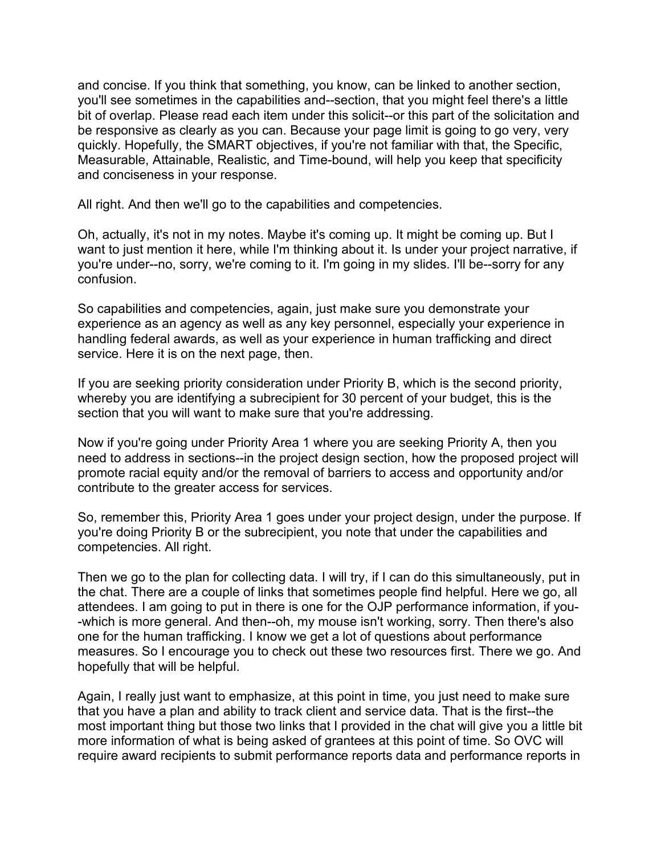and concise. If you think that something, you know, can be linked to another section, you'll see sometimes in the capabilities and--section, that you might feel there's a little bit of overlap. Please read each item under this solicit--or this part of the solicitation and be responsive as clearly as you can. Because your page limit is going to go very, very quickly. Hopefully, the SMART objectives, if you're not familiar with that, the Specific, Measurable, Attainable, Realistic, and Time-bound, will help you keep that specificity and conciseness in your response.

All right. And then we'll go to the capabilities and competencies.

Oh, actually, it's not in my notes. Maybe it's coming up. It might be coming up. But I want to just mention it here, while I'm thinking about it. Is under your project narrative, if you're under--no, sorry, we're coming to it. I'm going in my slides. I'll be--sorry for any confusion.

So capabilities and competencies, again, just make sure you demonstrate your experience as an agency as well as any key personnel, especially your experience in handling federal awards, as well as your experience in human trafficking and direct service. Here it is on the next page, then.

If you are seeking priority consideration under Priority B, which is the second priority, whereby you are identifying a subrecipient for 30 percent of your budget, this is the section that you will want to make sure that you're addressing.

Now if you're going under Priority Area 1 where you are seeking Priority A, then you need to address in sections--in the project design section, how the proposed project will promote racial equity and/or the removal of barriers to access and opportunity and/or contribute to the greater access for services.

So, remember this, Priority Area 1 goes under your project design, under the purpose. If you're doing Priority B or the subrecipient, you note that under the capabilities and competencies. All right.

Then we go to the plan for collecting data. I will try, if I can do this simultaneously, put in the chat. There are a couple of links that sometimes people find helpful. Here we go, all attendees. I am going to put in there is one for the OJP performance information, if you- -which is more general. And then--oh, my mouse isn't working, sorry. Then there's also one for the human trafficking. I know we get a lot of questions about performance measures. So I encourage you to check out these two resources first. There we go. And hopefully that will be helpful.

Again, I really just want to emphasize, at this point in time, you just need to make sure that you have a plan and ability to track client and service data. That is the first--the most important thing but those two links that I provided in the chat will give you a little bit more information of what is being asked of grantees at this point of time. So OVC will require award recipients to submit performance reports data and performance reports in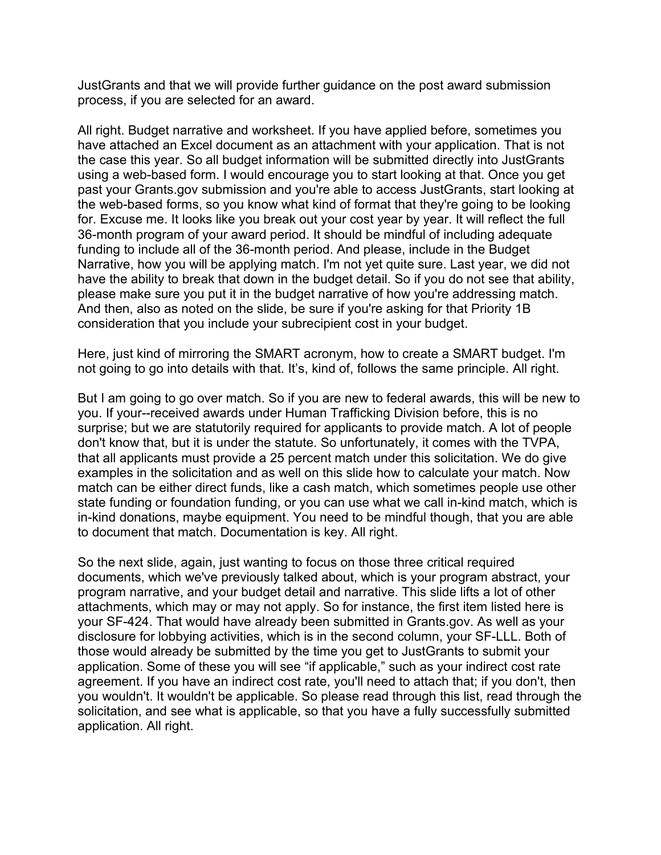JustGrants and that we will provide further guidance on the post award submission process, if you are selected for an award.

All right. Budget narrative and worksheet. If you have applied before, sometimes you have attached an Excel document as an attachment with your application. That is not the case this year. So all budget information will be submitted directly into JustGrants using a web-based form. I would encourage you to start looking at that. Once you get past your Grants.gov submission and you're able to access JustGrants, start looking at the web-based forms, so you know what kind of format that they're going to be looking for. Excuse me. It looks like you break out your cost year by year. It will reflect the full 36-month program of your award period. It should be mindful of including adequate funding to include all of the 36-month period. And please, include in the Budget Narrative, how you will be applying match. I'm not yet quite sure. Last year, we did not have the ability to break that down in the budget detail. So if you do not see that ability, please make sure you put it in the budget narrative of how you're addressing match. And then, also as noted on the slide, be sure if you're asking for that Priority 1B consideration that you include your subrecipient cost in your budget.

Here, just kind of mirroring the SMART acronym, how to create a SMART budget. I'm not going to go into details with that. It's, kind of, follows the same principle. All right.

But I am going to go over match. So if you are new to federal awards, this will be new to you. If your--received awards under Human Trafficking Division before, this is no surprise; but we are statutorily required for applicants to provide match. A lot of people don't know that, but it is under the statute. So unfortunately, it comes with the TVPA, that all applicants must provide a 25 percent match under this solicitation. We do give examples in the solicitation and as well on this slide how to calculate your match. Now match can be either direct funds, like a cash match, which sometimes people use other state funding or foundation funding, or you can use what we call in-kind match, which is in-kind donations, maybe equipment. You need to be mindful though, that you are able to document that match. Documentation is key. All right.

So the next slide, again, just wanting to focus on those three critical required documents, which we've previously talked about, which is your program abstract, your program narrative, and your budget detail and narrative. This slide lifts a lot of other attachments, which may or may not apply. So for instance, the first item listed here is your SF-424. That would have already been submitted in Grants.gov. As well as your disclosure for lobbying activities, which is in the second column, your SF-LLL. Both of those would already be submitted by the time you get to JustGrants to submit your application. Some of these you will see "if applicable," such as your indirect cost rate agreement. If you have an indirect cost rate, you'll need to attach that; if you don't, then you wouldn't. It wouldn't be applicable. So please read through this list, read through the solicitation, and see what is applicable, so that you have a fully successfully submitted application. All right.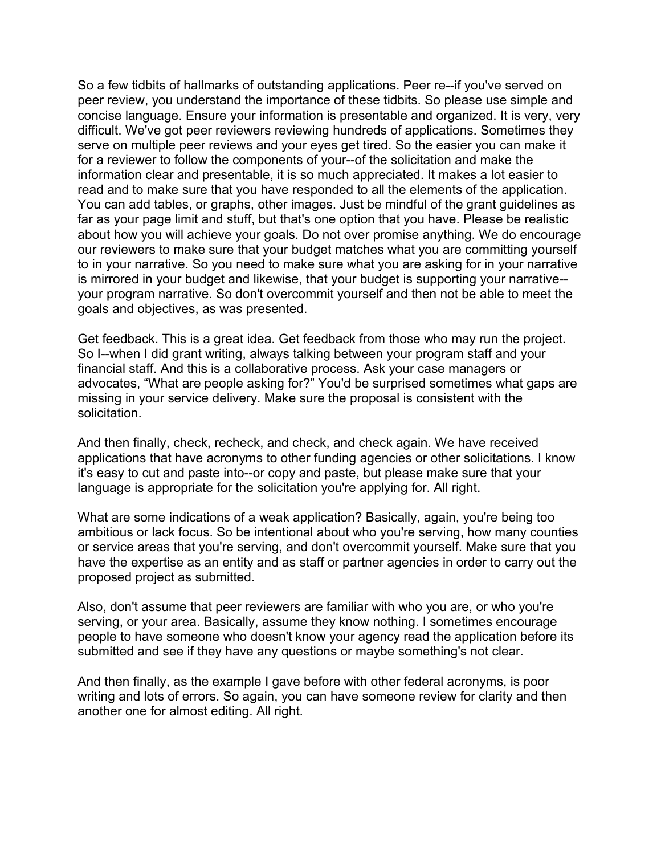So a few tidbits of hallmarks of outstanding applications. Peer re--if you've served on peer review, you understand the importance of these tidbits. So please use simple and concise language. Ensure your information is presentable and organized. It is very, very difficult. We've got peer reviewers reviewing hundreds of applications. Sometimes they serve on multiple peer reviews and your eyes get tired. So the easier you can make it for a reviewer to follow the components of your--of the solicitation and make the information clear and presentable, it is so much appreciated. It makes a lot easier to read and to make sure that you have responded to all the elements of the application. You can add tables, or graphs, other images. Just be mindful of the grant guidelines as far as your page limit and stuff, but that's one option that you have. Please be realistic about how you will achieve your goals. Do not over promise anything. We do encourage our reviewers to make sure that your budget matches what you are committing yourself to in your narrative. So you need to make sure what you are asking for in your narrative is mirrored in your budget and likewise, that your budget is supporting your narrative- your program narrative. So don't overcommit yourself and then not be able to meet the goals and objectives, as was presented.

Get feedback. This is a great idea. Get feedback from those who may run the project. So I--when I did grant writing, always talking between your program staff and your financial staff. And this is a collaborative process. Ask your case managers or advocates, "What are people asking for?" You'd be surprised sometimes what gaps are missing in your service delivery. Make sure the proposal is consistent with the solicitation.

And then finally, check, recheck, and check, and check again. We have received applications that have acronyms to other funding agencies or other solicitations. I know it's easy to cut and paste into--or copy and paste, but please make sure that your language is appropriate for the solicitation you're applying for. All right.

What are some indications of a weak application? Basically, again, you're being too ambitious or lack focus. So be intentional about who you're serving, how many counties or service areas that you're serving, and don't overcommit yourself. Make sure that you have the expertise as an entity and as staff or partner agencies in order to carry out the proposed project as submitted.

Also, don't assume that peer reviewers are familiar with who you are, or who you're serving, or your area. Basically, assume they know nothing. I sometimes encourage people to have someone who doesn't know your agency read the application before its submitted and see if they have any questions or maybe something's not clear.

And then finally, as the example I gave before with other federal acronyms, is poor writing and lots of errors. So again, you can have someone review for clarity and then another one for almost editing. All right.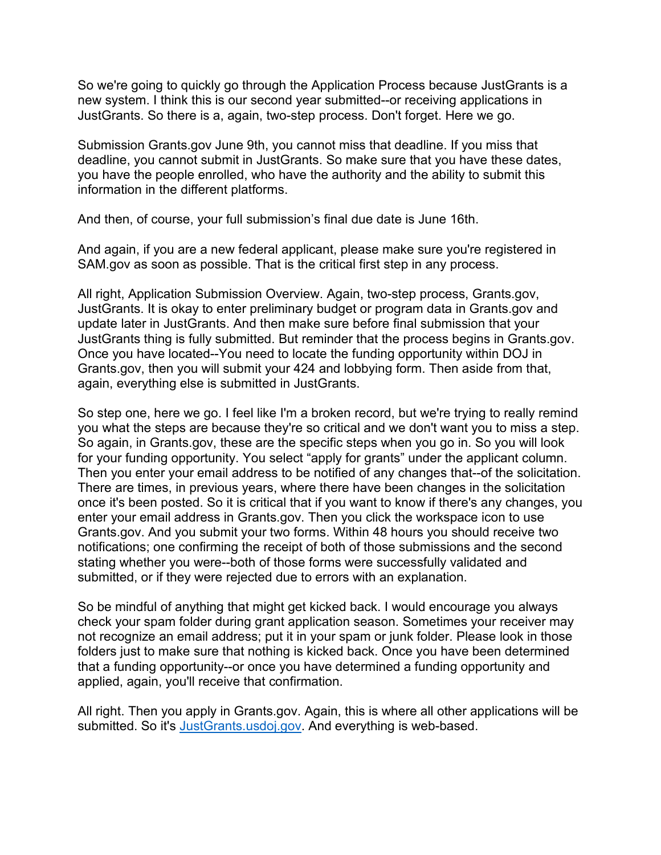So we're going to quickly go through the Application Process because JustGrants is a new system. I think this is our second year submitted--or receiving applications in JustGrants. So there is a, again, two-step process. Don't forget. Here we go.

Submission Grants.gov June 9th, you cannot miss that deadline. If you miss that deadline, you cannot submit in JustGrants. So make sure that you have these dates, you have the people enrolled, who have the authority and the ability to submit this information in the different platforms.

And then, of course, your full submission's final due date is June 16th.

And again, if you are a new federal applicant, please make sure you're registered in SAM.gov as soon as possible. That is the critical first step in any process.

All right, Application Submission Overview. Again, two-step process, Grants.gov, JustGrants. It is okay to enter preliminary budget or program data in Grants.gov and update later in JustGrants. And then make sure before final submission that your JustGrants thing is fully submitted. But reminder that the process begins in Grants.gov. Once you have located--You need to locate the funding opportunity within DOJ in Grants.gov, then you will submit your 424 and lobbying form. Then aside from that, again, everything else is submitted in JustGrants.

So step one, here we go. I feel like I'm a broken record, but we're trying to really remind you what the steps are because they're so critical and we don't want you to miss a step. So again, in Grants.gov, these are the specific steps when you go in. So you will look for your funding opportunity. You select "apply for grants" under the applicant column. Then you enter your email address to be notified of any changes that--of the solicitation. There are times, in previous years, where there have been changes in the solicitation once it's been posted. So it is critical that if you want to know if there's any changes, you enter your email address in Grants.gov. Then you click the workspace icon to use Grants.gov. And you submit your two forms. Within 48 hours you should receive two notifications; one confirming the receipt of both of those submissions and the second stating whether you were--both of those forms were successfully validated and submitted, or if they were rejected due to errors with an explanation.

So be mindful of anything that might get kicked back. I would encourage you always check your spam folder during grant application season. Sometimes your receiver may not recognize an email address; put it in your spam or junk folder. Please look in those folders just to make sure that nothing is kicked back. Once you have been determined that a funding opportunity--or once you have determined a funding opportunity and applied, again, you'll receive that confirmation.

All right. Then you apply in Grants.gov. Again, this is where all other applications will be submitted. So it's [JustGrants.usdoj.gov.](https://justgrants.usdoj.gov/) And everything is web-based.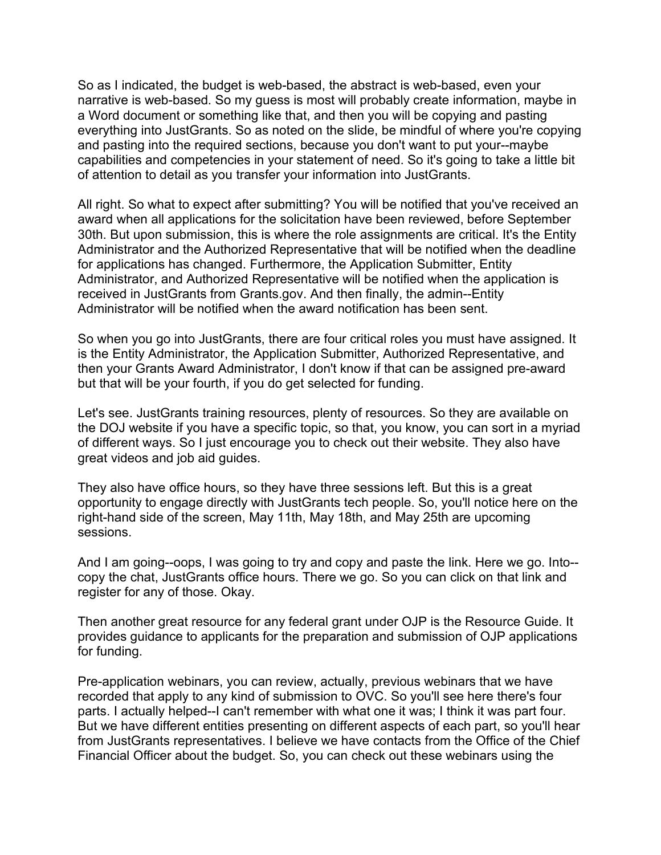So as I indicated, the budget is web-based, the abstract is web-based, even your narrative is web-based. So my guess is most will probably create information, maybe in a Word document or something like that, and then you will be copying and pasting everything into JustGrants. So as noted on the slide, be mindful of where you're copying and pasting into the required sections, because you don't want to put your--maybe capabilities and competencies in your statement of need. So it's going to take a little bit of attention to detail as you transfer your information into JustGrants.

All right. So what to expect after submitting? You will be notified that you've received an award when all applications for the solicitation have been reviewed, before September 30th. But upon submission, this is where the role assignments are critical. It's the Entity Administrator and the Authorized Representative that will be notified when the deadline for applications has changed. Furthermore, the Application Submitter, Entity Administrator, and Authorized Representative will be notified when the application is received in JustGrants from Grants.gov. And then finally, the admin--Entity Administrator will be notified when the award notification has been sent.

So when you go into JustGrants, there are four critical roles you must have assigned. It is the Entity Administrator, the Application Submitter, Authorized Representative, and then your Grants Award Administrator, I don't know if that can be assigned pre-award but that will be your fourth, if you do get selected for funding.

Let's see. JustGrants training resources, plenty of resources. So they are available on the DOJ website if you have a specific topic, so that, you know, you can sort in a myriad of different ways. So I just encourage you to check out their website. They also have great videos and job aid guides.

They also have office hours, so they have three sessions left. But this is a great opportunity to engage directly with JustGrants tech people. So, you'll notice here on the right-hand side of the screen, May 11th, May 18th, and May 25th are upcoming sessions.

And I am going--oops, I was going to try and copy and paste the link. Here we go. Into- copy the chat, JustGrants office hours. There we go. So you can click on that link and register for any of those. Okay.

Then another great resource for any federal grant under OJP is the Resource Guide. It provides guidance to applicants for the preparation and submission of OJP applications for funding.

Pre-application webinars, you can review, actually, previous webinars that we have recorded that apply to any kind of submission to OVC. So you'll see here there's four parts. I actually helped--I can't remember with what one it was; I think it was part four. But we have different entities presenting on different aspects of each part, so you'll hear from JustGrants representatives. I believe we have contacts from the Office of the Chief Financial Officer about the budget. So, you can check out these webinars using the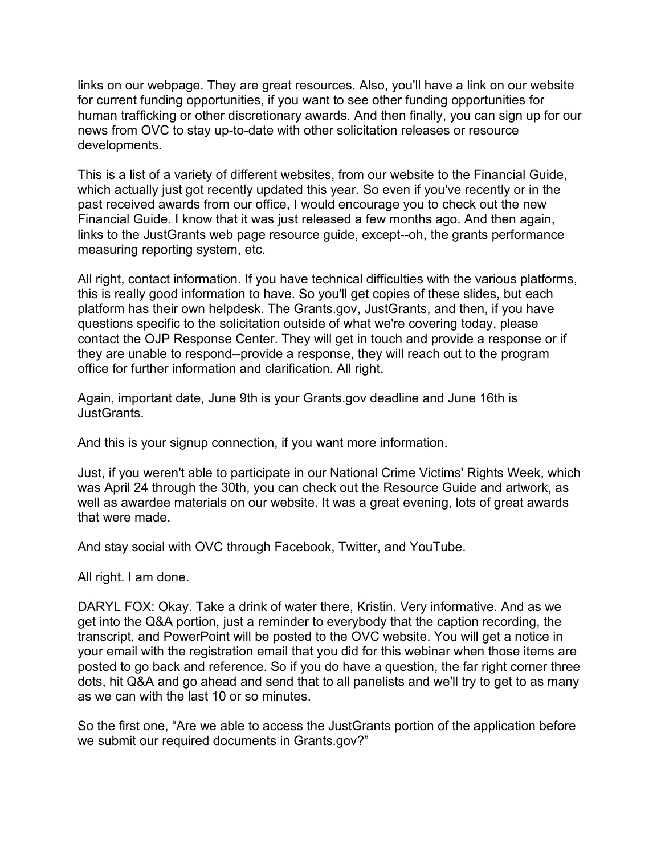links on our webpage. They are great resources. Also, you'll have a link on our website for current funding opportunities, if you want to see other funding opportunities for human trafficking or other discretionary awards. And then finally, you can sign up for our news from OVC to stay up-to-date with other solicitation releases or resource developments.

This is a list of a variety of different websites, from our website to the Financial Guide, which actually just got recently updated this year. So even if you've recently or in the past received awards from our office, I would encourage you to check out the new Financial Guide. I know that it was just released a few months ago. And then again, links to the JustGrants web page resource guide, except--oh, the grants performance measuring reporting system, etc.

All right, contact information. If you have technical difficulties with the various platforms, this is really good information to have. So you'll get copies of these slides, but each platform has their own helpdesk. The Grants.gov, JustGrants, and then, if you have questions specific to the solicitation outside of what we're covering today, please contact the OJP Response Center. They will get in touch and provide a response or if they are unable to respond--provide a response, they will reach out to the program office for further information and clarification. All right.

Again, important date, June 9th is your Grants.gov deadline and June 16th is JustGrants.

And this is your signup connection, if you want more information.

Just, if you weren't able to participate in our National Crime Victims' Rights Week, which was April 24 through the 30th, you can check out the Resource Guide and artwork, as well as awardee materials on our website. It was a great evening, lots of great awards that were made.

And stay social with OVC through Facebook, Twitter, and YouTube.

All right. I am done.

DARYL FOX: Okay. Take a drink of water there, Kristin. Very informative. And as we get into the Q&A portion, just a reminder to everybody that the caption recording, the transcript, and PowerPoint will be posted to the OVC website. You will get a notice in your email with the registration email that you did for this webinar when those items are posted to go back and reference. So if you do have a question, the far right corner three dots, hit Q&A and go ahead and send that to all panelists and we'll try to get to as many as we can with the last 10 or so minutes.

So the first one, "Are we able to access the JustGrants portion of the application before we submit our required documents in Grants.gov?"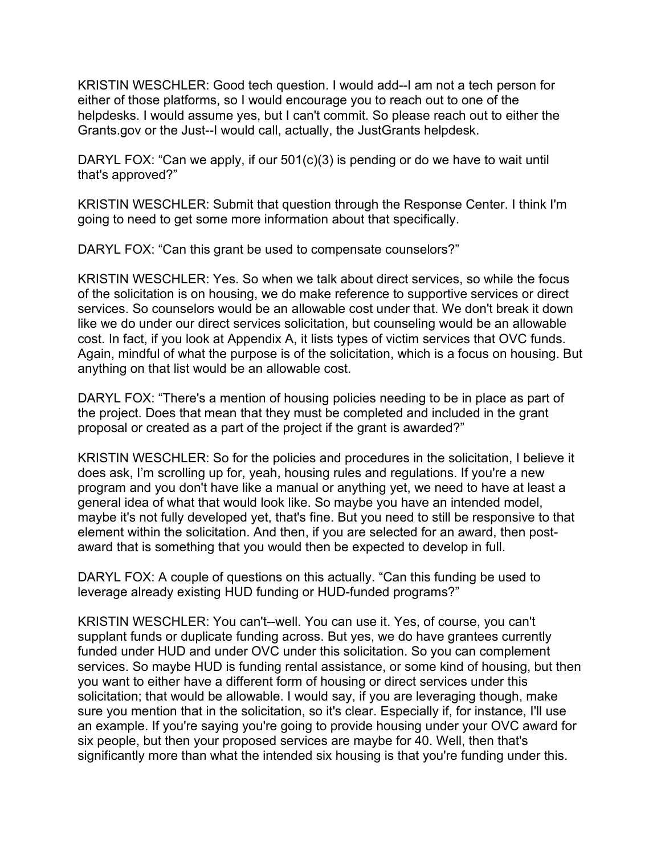KRISTIN WESCHLER: Good tech question. I would add--I am not a tech person for either of those platforms, so I would encourage you to reach out to one of the helpdesks. I would assume yes, but I can't commit. So please reach out to either the Grants.gov or the Just--I would call, actually, the JustGrants helpdesk.

DARYL FOX: "Can we apply, if our 501(c)(3) is pending or do we have to wait until that's approved?"

KRISTIN WESCHLER: Submit that question through the Response Center. I think I'm going to need to get some more information about that specifically.

DARYL FOX: "Can this grant be used to compensate counselors?"

KRISTIN WESCHLER: Yes. So when we talk about direct services, so while the focus of the solicitation is on housing, we do make reference to supportive services or direct services. So counselors would be an allowable cost under that. We don't break it down like we do under our direct services solicitation, but counseling would be an allowable cost. In fact, if you look at Appendix A, it lists types of victim services that OVC funds. Again, mindful of what the purpose is of the solicitation, which is a focus on housing. But anything on that list would be an allowable cost.

DARYL FOX: "There's a mention of housing policies needing to be in place as part of the project. Does that mean that they must be completed and included in the grant proposal or created as a part of the project if the grant is awarded?"

KRISTIN WESCHLER: So for the policies and procedures in the solicitation, I believe it does ask, I'm scrolling up for, yeah, housing rules and regulations. If you're a new program and you don't have like a manual or anything yet, we need to have at least a general idea of what that would look like. So maybe you have an intended model, maybe it's not fully developed yet, that's fine. But you need to still be responsive to that element within the solicitation. And then, if you are selected for an award, then postaward that is something that you would then be expected to develop in full.

DARYL FOX: A couple of questions on this actually. "Can this funding be used to leverage already existing HUD funding or HUD-funded programs?"

KRISTIN WESCHLER: You can't--well. You can use it. Yes, of course, you can't supplant funds or duplicate funding across. But yes, we do have grantees currently funded under HUD and under OVC under this solicitation. So you can complement services. So maybe HUD is funding rental assistance, or some kind of housing, but then you want to either have a different form of housing or direct services under this solicitation; that would be allowable. I would say, if you are leveraging though, make sure you mention that in the solicitation, so it's clear. Especially if, for instance, I'll use an example. If you're saying you're going to provide housing under your OVC award for six people, but then your proposed services are maybe for 40. Well, then that's significantly more than what the intended six housing is that you're funding under this.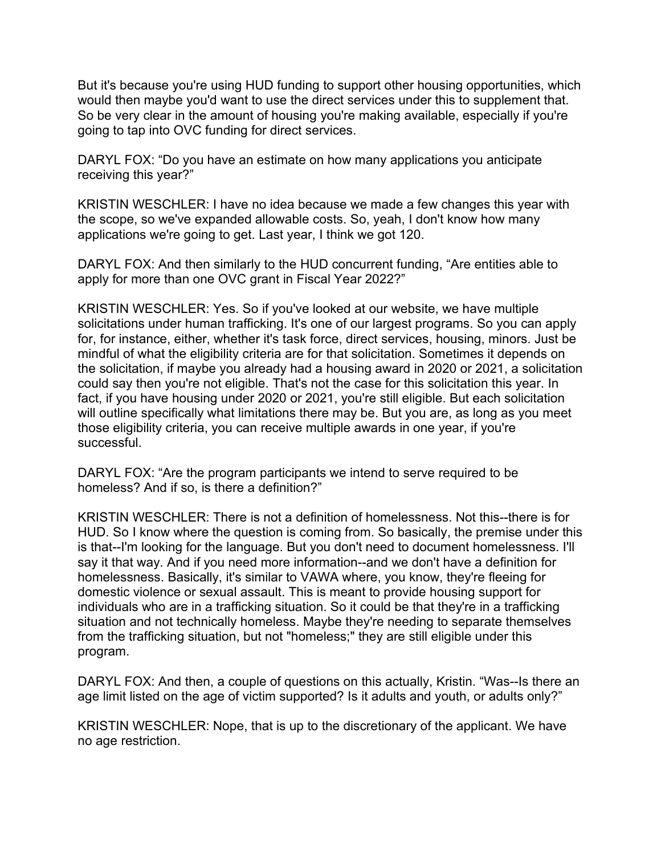But it's because you're using HUD funding to support other housing opportunities, which would then maybe you'd want to use the direct services under this to supplement that. So be very clear in the amount of housing you're making available, especially if you're going to tap into OVC funding for direct services.

DARYL FOX: "Do you have an estimate on how many applications you anticipate receiving this year?"

KRISTIN WESCHLER: I have no idea because we made a few changes this year with the scope, so we've expanded allowable costs. So, yeah, I don't know how many applications we're going to get. Last year, I think we got 120.

DARYL FOX: And then similarly to the HUD concurrent funding, "Are entities able to apply for more than one OVC grant in Fiscal Year 2022?"

KRISTIN WESCHLER: Yes. So if you've looked at our website, we have multiple solicitations under human trafficking. It's one of our largest programs. So you can apply for, for instance, either, whether it's task force, direct services, housing, minors. Just be mindful of what the eligibility criteria are for that solicitation. Sometimes it depends on the solicitation, if maybe you already had a housing award in 2020 or 2021, a solicitation could say then you're not eligible. That's not the case for this solicitation this year. In fact, if you have housing under 2020 or 2021, you're still eligible. But each solicitation will outline specifically what limitations there may be. But you are, as long as you meet those eligibility criteria, you can receive multiple awards in one year, if you're successful.

DARYL FOX: "Are the program participants we intend to serve required to be homeless? And if so, is there a definition?"

KRISTIN WESCHLER: There is not a definition of homelessness. Not this--there is for HUD. So I know where the question is coming from. So basically, the premise under this is that--I'm looking for the language. But you don't need to document homelessness. I'll say it that way. And if you need more information--and we don't have a definition for homelessness. Basically, it's similar to VAWA where, you know, they're fleeing for domestic violence or sexual assault. This is meant to provide housing support for individuals who are in a trafficking situation. So it could be that they're in a trafficking situation and not technically homeless. Maybe they're needing to separate themselves from the trafficking situation, but not "homeless;" they are still eligible under this program.

DARYL FOX: And then, a couple of questions on this actually, Kristin. "Was--Is there an age limit listed on the age of victim supported? Is it adults and youth, or adults only?"

KRISTIN WESCHLER: Nope, that is up to the discretionary of the applicant. We have no age restriction.